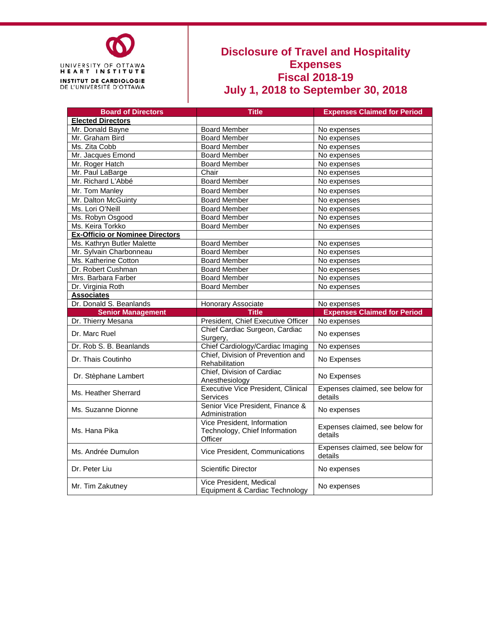

## **Disclosure of Travel and Hospitality Expenses Fiscal 2018-19 July 1, 2018 to September 30, 2018**

| <b>Board of Directors</b>              | <b>Title</b>                                                            | <b>Expenses Claimed for Period</b>         |
|----------------------------------------|-------------------------------------------------------------------------|--------------------------------------------|
| <b>Elected Directors</b>               |                                                                         |                                            |
| Mr. Donald Bayne                       | <b>Board Member</b>                                                     | No expenses                                |
| Mr. Graham Bird                        | <b>Board Member</b>                                                     | No expenses                                |
| Ms. Zita Cobb                          | <b>Board Member</b>                                                     | No expenses                                |
| Mr. Jacques Emond                      | <b>Board Member</b>                                                     | No expenses                                |
| Mr. Roger Hatch                        | <b>Board Member</b>                                                     | No expenses                                |
| Mr. Paul LaBarge                       | Chair                                                                   | No expenses                                |
| Mr. Richard L'Abbé                     | <b>Board Member</b>                                                     | No expenses                                |
| Mr. Tom Manley                         | <b>Board Member</b>                                                     | No expenses                                |
| Mr. Dalton McGuinty                    | <b>Board Member</b>                                                     | No expenses                                |
| Ms. Lori O'Neill                       | <b>Board Member</b>                                                     | No expenses                                |
| Ms. Robyn Osgood                       | <b>Board Member</b>                                                     | No expenses                                |
| Ms. Keira Torkko                       | <b>Board Member</b>                                                     | No expenses                                |
| <b>Ex-Officio or Nominee Directors</b> |                                                                         |                                            |
| Ms. Kathryn Butler Malette             | <b>Board Member</b>                                                     | No expenses                                |
| Mr. Sylvain Charbonneau                | <b>Board Member</b>                                                     | No expenses                                |
| Ms. Katherine Cotton                   | <b>Board Member</b>                                                     | No expenses                                |
| Dr. Robert Cushman                     | <b>Board Member</b>                                                     | No expenses                                |
| Mrs. Barbara Farber                    | <b>Board Member</b>                                                     | No expenses                                |
| Dr. Virginia Roth                      | <b>Board Member</b>                                                     | No expenses                                |
| <b>Associates</b>                      |                                                                         |                                            |
| Dr. Donald S. Beanlands                | Honorary Associate                                                      | No expenses                                |
| <b>Senior Management</b>               | <b>Title</b>                                                            | <b>Expenses Claimed for Period</b>         |
| Dr. Thierry Mesana                     | President, Chief Executive Officer                                      | No expenses                                |
| Dr. Marc Ruel                          | Chief Cardiac Surgeon, Cardiac<br>Surgery,                              | No expenses                                |
| Dr. Rob S. B. Beanlands                | Chief Cardiology/Cardiac Imaging                                        | No expenses                                |
| Dr. Thais Coutinho                     | Chief, Division of Prevention and<br>Rehabilitation                     | No Expenses                                |
| Dr. Stèphane Lambert                   | Chief, Division of Cardiac<br>Anesthesiology                            | No Expenses                                |
| Ms. Heather Sherrard                   | <b>Executive Vice President, Clinical</b><br>Services                   | Expenses claimed, see below for<br>details |
| Ms. Suzanne Dionne                     | Senior Vice President, Finance &<br>Administration                      | No expenses                                |
| Ms. Hana Pika                          | Vice President, Information<br>Technology, Chief Information<br>Officer | Expenses claimed, see below for<br>details |
| Ms. Andrée Dumulon                     | Vice President, Communications                                          | Expenses claimed, see below for<br>details |
| Dr. Peter Liu                          | Scientific Director                                                     | No expenses                                |
| Mr. Tim Zakutney                       | Vice President, Medical<br>Equipment & Cardiac Technology               | No expenses                                |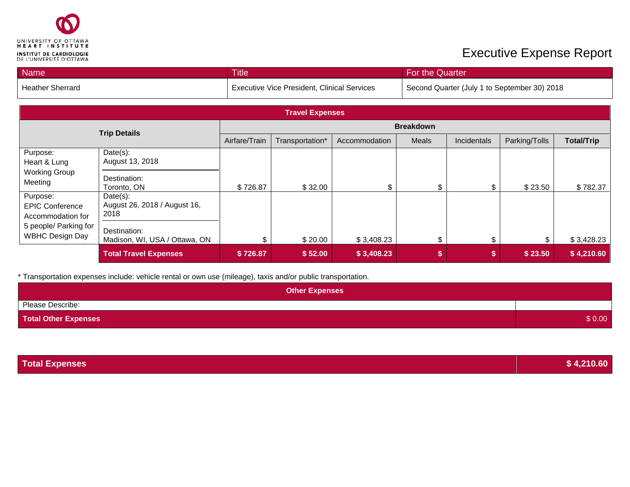

## **Executive Expense Report**

| <b>Name</b>             | <b>Title</b>                                       | For the Quarter                              |
|-------------------------|----------------------------------------------------|----------------------------------------------|
| <b>Heather Sherrard</b> | <b>Executive Vice President, Clinical Services</b> | Second Quarter (July 1 to September 30) 2018 |

| <b>Travel Expenses</b>                                  |                                                  |                  |                 |               |       |             |               |                   |
|---------------------------------------------------------|--------------------------------------------------|------------------|-----------------|---------------|-------|-------------|---------------|-------------------|
| <b>Trip Details</b>                                     |                                                  | <b>Breakdown</b> |                 |               |       |             |               |                   |
|                                                         |                                                  | Airfare/Train    | Transportation* | Accommodation | Meals | Incidentals | Parking/Tolls | <b>Total/Trip</b> |
| Purpose:<br>Heart & Lung                                | $Date(s)$ :<br>August 13, 2018                   |                  |                 |               |       |             |               |                   |
| <b>Working Group</b><br>Meeting                         | Destination:<br>Toronto, ON                      | \$726.87         | \$32.00         |               | \$    | \$          | \$23.50       | \$782.37          |
| Purpose:<br><b>EPIC Conference</b><br>Accommodation for | Date(s):<br>August 26, 2018 / August 16,<br>2018 |                  |                 |               |       |             |               |                   |
| 5 people/ Parking for<br><b>WBHC Design Day</b>         | Destination:<br>Madison, WI, USA / Ottawa, ON    |                  | \$20.00         | \$3,408.23    | \$    | \$          | \$.           | \$3,428.23        |
|                                                         | <b>Total Travel Expenses</b>                     | \$726.87         | \$52.00         | \$3,408.23    |       | \$          | \$23.50       | \$4,210.60        |

\* Transportation expenses include: vehicle rental or own use (mileage), taxis and/or public transportation.

| <b>Other Expenses</b>       |        |
|-----------------------------|--------|
| Please Describe:            |        |
| <b>Total Other Expenses</b> | \$0.00 |

| <b>Total Expenses</b> | \$4,210.60 |
|-----------------------|------------|
|                       |            |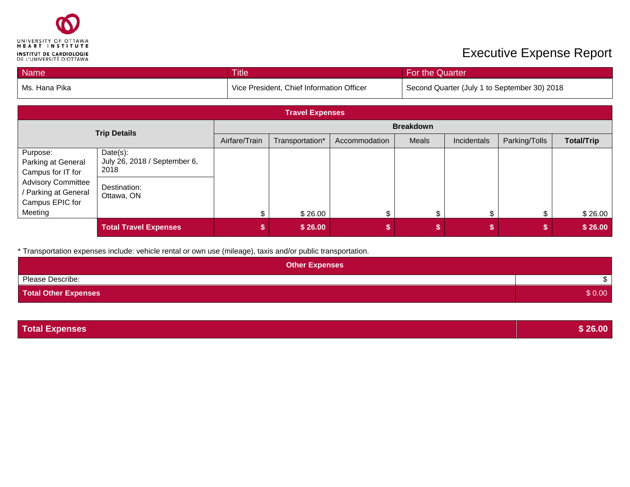

## **Executive Expense Report**

| Name          | <b>Title</b>                              | For the Quarter                              |
|---------------|-------------------------------------------|----------------------------------------------|
| Ms. Hana Pika | Vice President, Chief Information Officer | Second Quarter (July 1 to September 30) 2018 |

| <b>Travel Expenses</b>                                               |                                                  |                  |                 |               |       |             |               |                   |
|----------------------------------------------------------------------|--------------------------------------------------|------------------|-----------------|---------------|-------|-------------|---------------|-------------------|
| <b>Trip Details</b>                                                  |                                                  | <b>Breakdown</b> |                 |               |       |             |               |                   |
|                                                                      |                                                  | Airfare/Train    | Transportation* | Accommodation | Meals | Incidentals | Parking/Tolls | <b>Total/Trip</b> |
| Purpose:<br>Parking at General<br>Campus for IT for                  | Date(s):<br>July 26, 2018 / September 6,<br>2018 |                  |                 |               |       |             |               |                   |
| <b>Advisory Committee</b><br>/ Parking at General<br>Campus EPIC for | Destination:<br>Ottawa, ON                       |                  |                 |               |       |             |               |                   |
| Meeting                                                              |                                                  |                  | \$26.00         | \$            | \$    | \$          | \$            | \$26.00           |
|                                                                      | <b>Total Travel Expenses</b>                     |                  | \$26.00         |               |       |             |               | \$26.00           |

\* Transportation expenses include: vehicle rental or own use (mileage), taxis and/or public transportation.

| <b>Other Expenses</b>       |        |
|-----------------------------|--------|
| Please Describe:            |        |
| <b>Total Other Expenses</b> | \$0.00 |

| <b>Total Expenses</b> | \$26.00 |
|-----------------------|---------|
|                       |         |